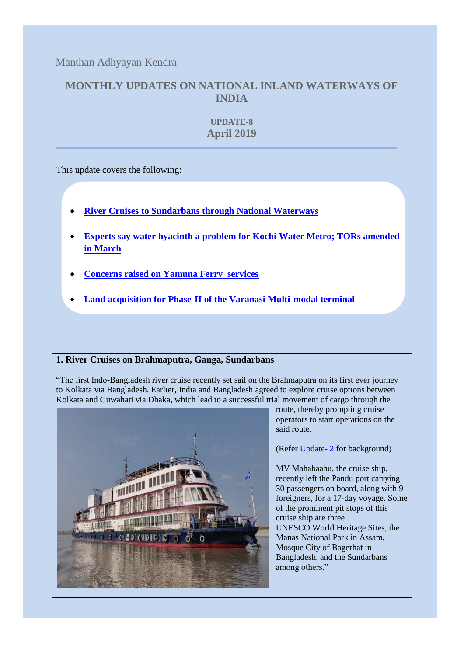Manthan Adhyayan Kendra

## **MONTHLY UPDATES ON NATIONAL INLAND WATERWAYS OF INDIA**

**UPDATE-8 April 2019**

This update covers the following:

- **[River Cruises to Sundarbans through National Waterways](#page-0-0)**
- **[Experts say water hyacinth a problem for Kochi Water Metro; TORs amended](#page-1-0)  [in March](#page-1-0)**
- **[Concerns raised on Yamuna Ferry services](#page-2-0)**
- **[Land acquisition for Phase-II of the Varanasi Multi-modal terminal](#page-3-0)**

## <span id="page-0-0"></span>**1. River Cruises on Brahmaputra, Ganga, Sundarbans**

"The first Indo-Bangladesh river cruise recently set sail on the Brahmaputra on its first ever journey to [Kolkata](https://timesofindia.indiatimes.com/travel/Kolkata/travel-guide/cs24604312.cms) via Bangladesh. Earlier, [India](https://timesofindia.indiatimes.com/topic/india) and [Bangladesh](https://timesofindia.indiatimes.com/topic/bangladesh) agreed to [explore](https://timesofindia.indiatimes.com/topic/explore) cruise options between Kolkata and [Guwahati](https://timesofindia.indiatimes.com/travel/Guwahati/travel-guide/cs50741468.cms) via [Dhaka,](https://timesofindia.indiatimes.com/topic/dhaka) which lead to a successful trial movement of cargo through the



route, thereby prompting cruise operators to start operations on the said route.

(Refer [Update-](https://www.manthan-india.org/wp-content/uploads/2018/11/October-2018-waterway-update.pdf) 2 for background)

MV Mahabaahu, the cruise ship, recently left the Pandu port carrying 30 passengers on board, along with 9 foreigners, for a 17-day voyage. Some of the prominent pit stops of this cruise ship are three UNESCO [World](https://timesofindia.indiatimes.com/topic/world) Heritage Sites, the Manas National [Park](https://timesofindia.indiatimes.com/topic/park) in [Assam,](https://timesofindia.indiatimes.com/topic/assam) Mosque City of Bagerhat in Bangladesh, and the Sundarbans among others."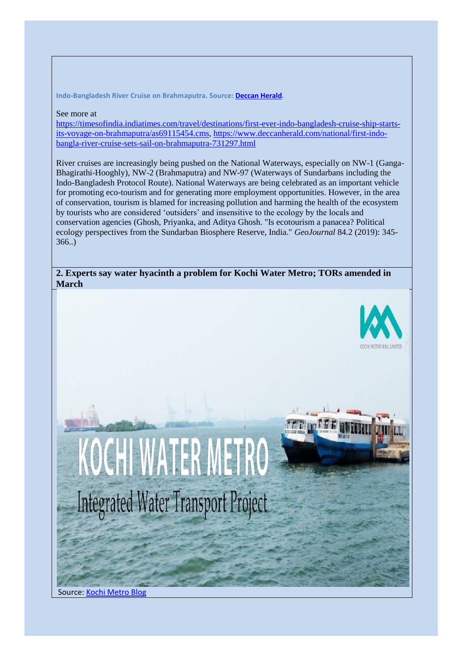**Indo-Bangladesh River Cruise on Brahmaputra. Source: [Deccan Herald.](https://www.deccanherald.com/national/first-indo-bangla-river-cruise-sets-sail-on-brahmaputra-731297.html)**

See more at

[https://timesofindia.indiatimes.com/travel/destinations/first-ever-indo-bangladesh-cruise-ship-starts](https://timesofindia.indiatimes.com/travel/destinations/first-ever-indo-bangladesh-cruise-ship-starts-its-voyage-on-brahmaputra/as69115454.cms)[its-voyage-on-brahmaputra/as69115454.cms,](https://timesofindia.indiatimes.com/travel/destinations/first-ever-indo-bangladesh-cruise-ship-starts-its-voyage-on-brahmaputra/as69115454.cms) [https://www.deccanherald.com/national/first-indo](https://www.deccanherald.com/national/first-indo-bangla-river-cruise-sets-sail-on-brahmaputra-731297.html)[bangla-river-cruise-sets-sail-on-brahmaputra-731297.html](https://www.deccanherald.com/national/first-indo-bangla-river-cruise-sets-sail-on-brahmaputra-731297.html)

River cruises are increasingly being pushed on the National Waterways, especially on NW-1 (Ganga-Bhagirathi-Hooghly), NW-2 (Brahmaputra) and NW-97 (Waterways of Sundarbans including the Indo-Bangladesh Protocol Route). National Waterways are being celebrated as an important vehicle for promoting eco-tourism and for generating more employment opportunities. However, in the area of conservation, tourism is blamed for increasing pollution and harming the health of the ecosystem by tourists who are considered 'outsiders' and insensitive to the ecology by the locals and conservation agencies (Ghosh, Priyanka, and Aditya Ghosh. "Is ecotourism a panacea? Political ecology perspectives from the Sundarban Biosphere Reserve, India." *GeoJournal* 84.2 (2019): 345- 366..)

<span id="page-1-0"></span>**2. Experts say water hyacinth a problem for Kochi Water Metro; TORs amended in March**





Source[: Kochi Metro Blog](http://blog.kochimetro.org/2016/06/20/kmrl-signs-agreement-with-kfw-for-integrated-water-transport-project/)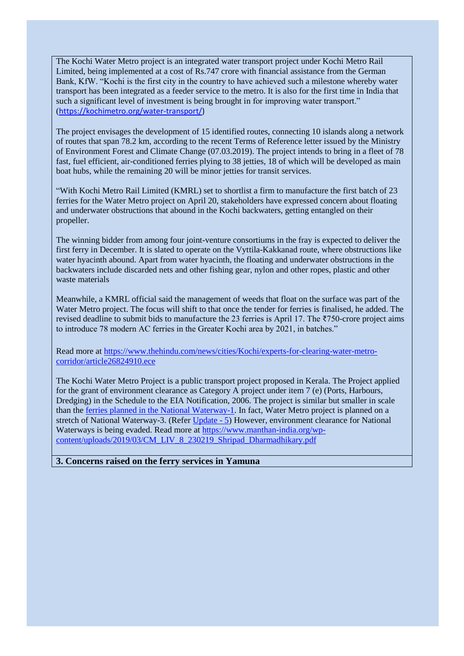The Kochi Water Metro project is an integrated water transport project under Kochi Metro Rail Limited, being implemented at a cost of Rs.747 crore with financial assistance from the German Bank, KfW. "Kochi is the first city in the country to have achieved such a milestone whereby water transport has been integrated as a feeder service to the metro. It is also for the first time in India that such a significant level of investment is being brought in for improving water transport." ([https://kochimetro.org/water-transport/\)](https://kochimetro.org/water-transport/)

The project envisages the development of 15 identified routes, connecting 10 islands along a network of routes that span 78.2 km, according to the recent Terms of Reference letter issued by the Ministry of Environment Forest and Climate Change (07.03.2019). The project intends to bring in a fleet of 78 fast, fuel efficient, air-conditioned ferries plying to 38 jetties, 18 of which will be developed as main boat hubs, while the remaining 20 will be minor jetties for transit services.

"With Kochi Metro Rail Limited (KMRL) set to shortlist a firm to manufacture the first batch of 23 ferries for the Water Metro project on April 20, stakeholders have expressed concern about floating and underwater obstructions that abound in the Kochi backwaters, getting entangled on their propeller.

The winning bidder from among four joint-venture consortiums in the fray is expected to deliver the first ferry in December. It is slated to operate on the Vyttila-Kakkanad route, where obstructions like water hyacinth abound. Apart from water hyacinth, the floating and underwater obstructions in the backwaters include discarded nets and other fishing gear, nylon and other ropes, plastic and other waste materials

Meanwhile, a KMRL official said the management of weeds that float on the surface was part of the Water Metro project. The focus will shift to that once the tender for ferries is finalised, he added. The revised deadline to submit bids to manufacture the 23 ferries is April 17. The ₹750-crore project aims to introduce 78 modern AC ferries in the Greater Kochi area by 2021, in batches."

Read more at [https://www.thehindu.com/news/cities/Kochi/experts-for-clearing-water-metro](https://www.thehindu.com/news/cities/Kochi/experts-for-clearing-water-metro-corridor/article26824910.ece)[corridor/article26824910.ece](https://www.thehindu.com/news/cities/Kochi/experts-for-clearing-water-metro-corridor/article26824910.ece)

The Kochi Water Metro Project is a public transport project proposed in Kerala. The Project applied for the grant of environment clearance as Category A project under item 7 (e) (Ports, Harbours, Dredging) in the Schedule to the EIA Notification, 2006. The project is similar but smaller in scale than the [ferries planned in the National Waterway-1.](http://pib.nic.in/newsite/mbErel.aspx?relid=169315) In fact, Water Metro project is planned on a stretch of National Waterway-3. (Refer [Update -](https://www.manthan-india.org/wp-content/uploads/2019/04/Monthly-update-for-website-jan-2019-15042019.pdf) 5) However, environment clearance for National Waterways is being evaded. Read more at [https://www.manthan-india.org/wp](https://www.manthan-india.org/wp-content/uploads/2019/03/CM_LIV_8_230219_Shripad_Dharmadhikary.pdf)[content/uploads/2019/03/CM\\_LIV\\_8\\_230219\\_Shripad\\_Dharmadhikary.pdf](https://www.manthan-india.org/wp-content/uploads/2019/03/CM_LIV_8_230219_Shripad_Dharmadhikary.pdf)

## <span id="page-2-0"></span>**3. Concerns raised on the ferry services in Yamuna**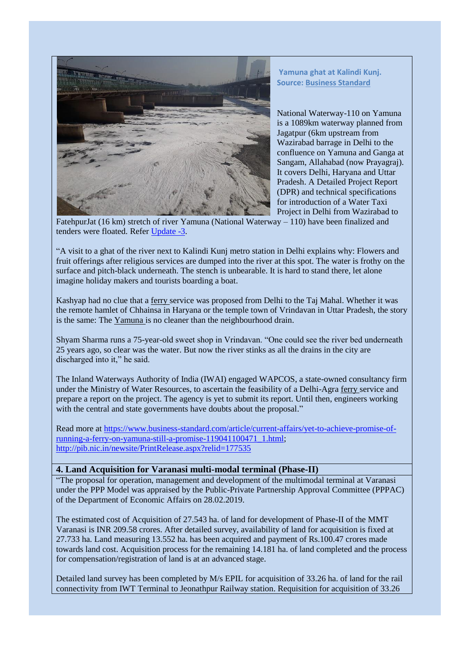

**Yamuna ghat at Kalindi Kunj. Source: [Business Standard](https://www.business-standard.com/article/current-affairs/yet-to-achieve-promise-of-running-a-ferry-on-yamuna-still-a-promise-119041100471_1.html)**

National Waterway-110 on Yamuna is a 1089km waterway planned from Jagatpur (6km upstream from Wazirabad barrage in Delhi to the confluence on Yamuna and Ganga at Sangam, Allahabad (now Prayagraj). It covers Delhi, Haryana and Uttar Pradesh. A Detailed Project Report (DPR) and technical specifications for introduction of a Water Taxi Project in Delhi from Wazirabad to

FatehpurJat (16 km) stretch of river Yamuna (National Waterway – 110) have been finalized and tenders were floated. Refer [Update -3.](https://www.manthan-india.org/wp-content/uploads/2019/01/November-2018-Monthly-update.pdf)

"A visit to a ghat of the river next to Kalindi Kunj metro station in Delhi explains why: Flowers and fruit offerings after religious services are dumped into the river at this spot. The water is frothy on the surface and pitch-black underneath. The stench is unbearable. It is hard to stand there, let alone imagine holiday makers and tourists boarding a boat.

Kashyap had no clue that a [ferry](https://www.business-standard.com/search?type=news&q=ferry) service was proposed from Delhi to the Taj Mahal. Whether it was the remote hamlet of Chhainsa in Haryana or the temple town of Vrindavan in Uttar Pradesh, the story is the same: The [Yamuna](https://www.business-standard.com/topic/yamuna) is no cleaner than the neighbourhood drain.

Shyam Sharma runs a 75-year-old sweet shop in Vrindavan. "One could see the river bed underneath 25 years ago, so clear was the water. But now the river stinks as all the drains in the city are discharged into it," he said.

The Inland Waterways Authority of India (IWAI) engaged WAPCOS, a state-owned consultancy firm under the Ministry of Water Resources, to ascertain the feasibility of a Delhi-Agra [ferry](https://www.business-standard.com/search?type=news&q=ferry) service and prepare a report on the project. The agency is yet to submit its report. Until then, engineers working with the central and state governments have doubts about the proposal."

Read more at [https://www.business-standard.com/article/current-affairs/yet-to-achieve-promise-of](https://www.business-standard.com/article/current-affairs/yet-to-achieve-promise-of-running-a-ferry-on-yamuna-still-a-promise-119041100471_1.html)[running-a-ferry-on-yamuna-still-a-promise-119041100471\\_1.html;](https://www.business-standard.com/article/current-affairs/yet-to-achieve-promise-of-running-a-ferry-on-yamuna-still-a-promise-119041100471_1.html) <http://pib.nic.in/newsite/PrintRelease.aspx?relid=177535>

## <span id="page-3-0"></span>**4. Land Acquisition for Varanasi multi-modal terminal (Phase-II)**

"The proposal for operation, management and development of the multimodal terminal at Varanasi under the PPP Model was appraised by the Public-Private Partnership Approval Committee (PPPAC) of the Department of Economic Affairs on 28.02.2019.

The estimated cost of Acquisition of 27.543 ha. of land for development of Phase-II of the MMT Varanasi is INR 209.58 crores. After detailed survey, availability of land for acquisition is fixed at 27.733 ha. Land measuring 13.552 ha. has been acquired and payment of Rs.100.47 crores made towards land cost. Acquisition process for the remaining 14.181 ha. of land completed and the process for compensation/registration of land is at an advanced stage.

Detailed land survey has been completed by M/s EPIL for acquisition of 33.26 ha. of land for the rail connectivity from IWT Terminal to Jeonathpur Railway station. Requisition for acquisition of 33.26